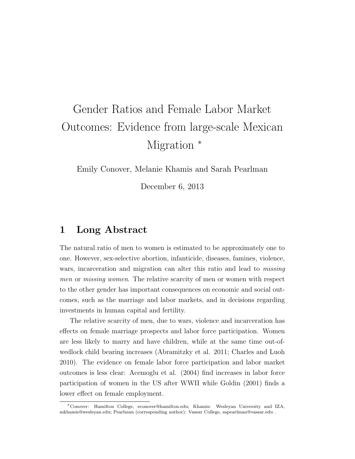## Gender Ratios and Female Labor Market Outcomes: Evidence from large-scale Mexican Migration  $*$

Emily Conover, Melanie Khamis and Sarah Pearlman

December 6, 2013

## 1 Long Abstract

The natural ratio of men to women is estimated to be approximately one to one. However, sex-selective abortion, infanticide, diseases, famines, violence, wars, incarceration and migration can alter this ratio and lead to *missing* men or missing women. The relative scarcity of men or women with respect to the other gender has important consequences on economic and social outcomes, such as the marriage and labor markets, and in decisions regarding investments in human capital and fertility.

The relative scarcity of men, due to wars, violence and incarceration has effects on female marriage prospects and labor force participation. Women are less likely to marry and have children, while at the same time out-ofwedlock child bearing increases (Abramitzky et al. 2011; Charles and Luoh 2010). The evidence on female labor force participation and labor market outcomes is less clear: Acemoglu et al. (2004) find increases in labor force participation of women in the US after WWII while Goldin (2001) finds a lower effect on female employment.

<sup>∗</sup>Conover: Hamilton College, econover@hamilton.edu; Khamis: Wesleyan University and IZA, mkhamis@wesleyan.edu; Pearlman (corresponding author): Vassar College, sapearlman@vassar.edu .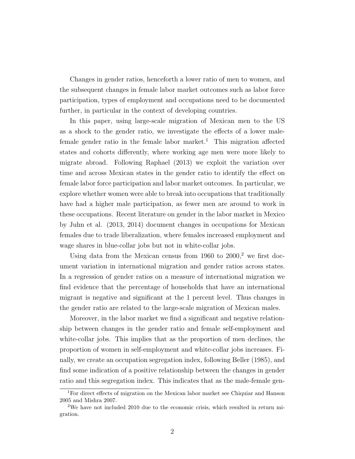Changes in gender ratios, henceforth a lower ratio of men to women, and the subsequent changes in female labor market outcomes such as labor force participation, types of employment and occupations need to be documented further, in particular in the context of developing countries.

In this paper, using large-scale migration of Mexican men to the US as a shock to the gender ratio, we investigate the effects of a lower malefemale gender ratio in the female labor market.<sup>1</sup> This migration affected states and cohorts differently, where working age men were more likely to migrate abroad. Following Raphael (2013) we exploit the variation over time and across Mexican states in the gender ratio to identify the effect on female labor force participation and labor market outcomes. In particular, we explore whether women were able to break into occupations that traditionally have had a higher male participation, as fewer men are around to work in these occupations. Recent literature on gender in the labor market in Mexico by Juhn et al. (2013, 2014) document changes in occupations for Mexican females due to trade liberalization, where females increased employment and wage shares in blue-collar jobs but not in white-collar jobs.

Using data from the Mexican census from 1960 to  $2000$ ,<sup>2</sup> we first document variation in international migration and gender ratios across states. In a regression of gender ratios on a measure of international migration we find evidence that the percentage of households that have an international migrant is negative and significant at the 1 percent level. Thus changes in the gender ratio are related to the large-scale migration of Mexican males.

Moreover, in the labor market we find a significant and negative relationship between changes in the gender ratio and female self-employment and white-collar jobs. This implies that as the proportion of men declines, the proportion of women in self-employment and white-collar jobs increases. Finally, we create an occupation segregation index, following Beller (1985), and find some indication of a positive relationship between the changes in gender ratio and this segregation index. This indicates that as the male-female gen-

<sup>1</sup>For direct effects of migration on the Mexican labor market see Chiquiar and Hanson 2005 and Mishra 2007.

<sup>&</sup>lt;sup>2</sup>We have not included 2010 due to the economic crisis, which resulted in return migration.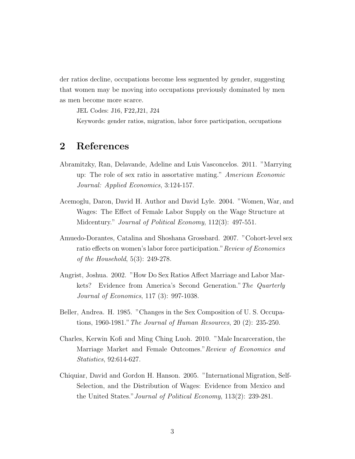der ratios decline, occupations become less segmented by gender, suggesting that women may be moving into occupations previously dominated by men as men become more scarce.

JEL Codes: J16, F22,J21, J24

Keywords: gender ratios, migration, labor force participation, occupations

## 2 References

- Abramitzky, Ran, Delavande, Adeline and Luis Vasconcelos. 2011. "Marrying up: The role of sex ratio in assortative mating." American Economic Journal: Applied Economics, 3:124-157.
- Acemoglu, Daron, David H. Author and David Lyle. 2004. "Women, War, and Wages: The Effect of Female Labor Supply on the Wage Structure at Midcentury." *Journal of Political Economy*, 112(3): 497-551.
- Amuedo-Dorantes, Catalina and Shoshana Grossbard. 2007. "Cohort-level sex ratio effects on women's labor force participation." Review of Economics of the Household, 5(3): 249-278.
- Angrist, Joshua. 2002. "How Do Sex Ratios Affect Marriage and Labor Markets? Evidence from America's Second Generation."The Quarterly Journal of Economics, 117 (3): 997-1038.
- Beller, Andrea. H. 1985. "Changes in the Sex Composition of U. S. Occupations, 1960-1981."The Journal of Human Resources, 20 (2): 235-250.
- Charles, Kerwin Kofi and Ming Ching Luoh. 2010. "Male Incarceration, the Marriage Market and Female Outcomes."Review of Economics and Statistics, 92:614-627.
- Chiquiar, David and Gordon H. Hanson. 2005. "International Migration, Self-Selection, and the Distribution of Wages: Evidence from Mexico and the United States."Journal of Political Economy, 113(2): 239-281.